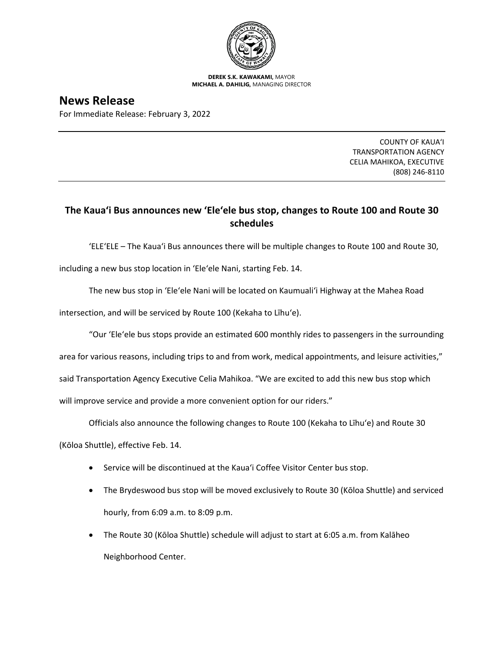

**DEREK S.K. KAWAKAMI,** MAYOR **MICHAEL A. DAHILIG,** MANAGING DIRECTOR

## **News Release**

For Immediate Release: February 3, 2022

COUNTY OF KAUA'I TRANSPORTATION AGENCY CELIA MAHIKOA, EXECUTIVE (808) 246-8110

## **The Kaua'i Bus announces new 'Ele'ele bus stop, changes to Route 100 and Route 30 schedules**

'ELE'ELE – The Kaua'i Bus announces there will be multiple changes to Route 100 and Route 30,

including a new bus stop location in 'Ele'ele Nani, starting Feb. 14.

The new bus stop in 'Ele'ele Nani will be located on Kaumuali'i Highway at the Mahea Road

intersection, and will be serviced by Route 100 (Kekaha to Līhu'e).

"Our 'Ele'ele bus stops provide an estimated 600 monthly rides to passengers in the surrounding

area for various reasons, including trips to and from work, medical appointments, and leisure activities,"

said Transportation Agency Executive Celia Mahikoa. "We are excited to add this new bus stop which

will improve service and provide a more convenient option for our riders."

Officials also announce the following changes to Route 100 (Kekaha to Līhu'e) and Route 30

(Kōloa Shuttle), effective Feb. 14.

- Service will be discontinued at the Kaua'i Coffee Visitor Center bus stop.
- The Brydeswood bus stop will be moved exclusively to Route 30 (Kōloa Shuttle) and serviced hourly, from 6:09 a.m. to 8:09 p.m.
- The Route 30 (Kōloa Shuttle) schedule will adjust to start at 6:05 a.m. from Kalāheo Neighborhood Center.